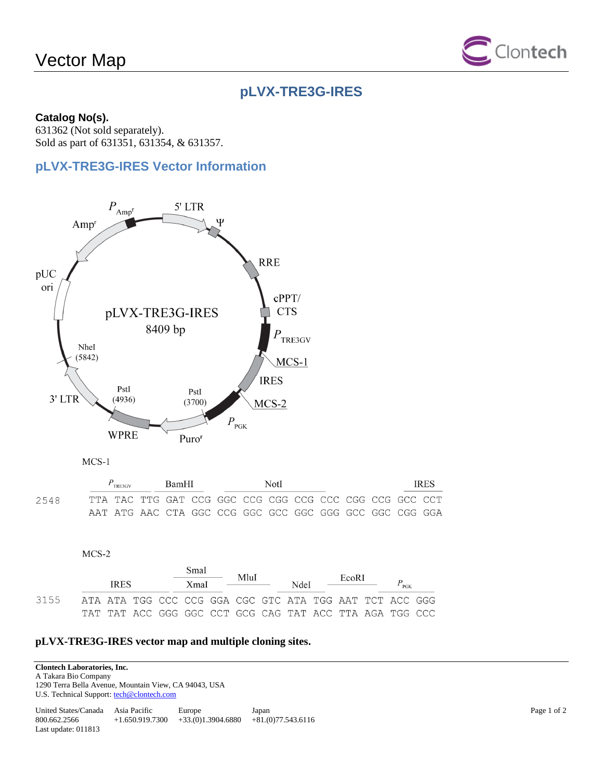# Vector Map



# **pLVX-TRE3G-IRES**

#### **Catalog No(s).**

631362 (Not sold separately). Sold as part of 631351, 631354, & 631357.

## **pLVX-TRE3G-IRES Vector Information**





|       | $P_{\text{TREGV}}$ |  | BamHI |                                                             | NotI |  |  |  |  | <b>IRES</b> |  |  |  |
|-------|--------------------|--|-------|-------------------------------------------------------------|------|--|--|--|--|-------------|--|--|--|
| 2548. |                    |  |       | TTA TAC TTG GAT CCG GGC CCG CGG CCG CCC CGG CCG GCC GCC CCT |      |  |  |  |  |             |  |  |  |
|       |                    |  |       |                                                             |      |  |  |  |  |             |  |  |  |

 $MCS-2$ 

| <b>IRES</b> |  |  | Smal<br>XmaI | MluI<br><u> The Common State Common State Common</u> | NdeI |  | EcoRI |  | $P_{\text{PGK}}$                                        |  |
|-------------|--|--|--------------|------------------------------------------------------|------|--|-------|--|---------------------------------------------------------|--|
| 3155        |  |  |              |                                                      |      |  |       |  | ATA ATA TGG CCC CCG GGA CGC GTC ATA TGG AAT TCT ACC GGG |  |
|             |  |  |              |                                                      |      |  |       |  | TAT TAT ACC GGG GGC CCT GCG CAG TAT ACC TTA AGA TGG CCC |  |

#### **pLVX-TRE3G-IRES vector map and multiple cloning sites.**

**Clontech Laboratories, Inc.** 

A Takara Bio Company 1290 Terra Bella Avenue, Mountain View, CA 94043, USA

U.S. Technical Support: tech@clontech.com

| United States/Canada  | Asia Pacific      | Europe              | Japan               |
|-----------------------|-------------------|---------------------|---------------------|
| 800.662.2566          | $+1.650.919.7300$ | $+33(0)1.3904.6880$ | $+81(0)77.543.6116$ |
| Last update: $011813$ |                   |                     |                     |